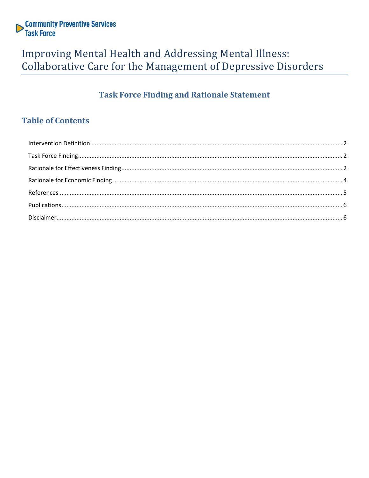

# Improving Mental Health and Addressing Mental Illness: Collaborative Care for the Management of Depressive Disorders

# **Task Force Finding and Rationale Statement**

# **Table of Contents**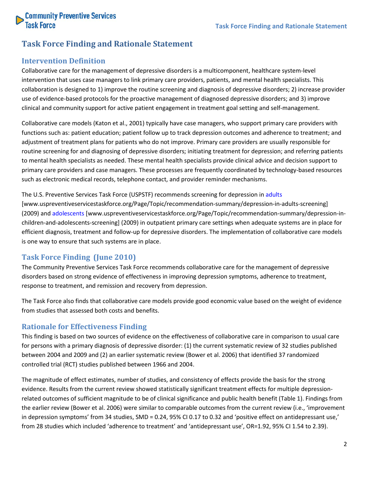

# **Task Force Finding and Rationale Statement**

### <span id="page-1-0"></span>**Intervention Definition**

Collaborative care for the management of depressive disorders is a multicomponent, healthcare system-level intervention that uses case managers to link primary care providers, patients, and mental health specialists. This collaboration is designed to 1) improve the routine screening and diagnosis of depressive disorders; 2) increase provider use of evidence-based protocols for the proactive management of diagnosed depressive disorders; and 3) improve clinical and community support for active patient engagement in treatment goal setting and self-management.

Collaborative care models (Katon et al., 2001) typically have case managers, who support primary care providers with functions such as: patient education; patient follow up to track depression outcomes and adherence to treatment; and adjustment of treatment plans for patients who do not improve. Primary care providers are usually responsible for routine screening for and diagnosing of depressive disorders; initiating treatment for depression; and referring patients to mental health specialists as needed. These mental health specialists provide clinical advice and decision support to primary care providers and case managers. These processes are frequently coordinated by technology-based resources such as electronic medical records, telephone contact, and provider reminder mechanisms.

The U.S. Preventive Services Task Force (USPSTF) recommends screening for depression in [adults](http://www.uspreventiveservicestaskforce.org/Page/Topic/recommendation-summary/depression-in-adults-screening) [www.uspreventiveservicestaskforce.org/Page/Topic/recommendation-summary/depression-in-adults-screening] (2009) and [adolescents](http://www.uspreventiveservicestaskforce.org/Page/Topic/recommendation-summary/depression-in-children-and-adolescents-screening) [www.uspreventiveservicestaskforce.org/Page/Topic/recommendation-summary/depression-inchildren-and-adolescents-screening] (2009) in outpatient primary care settings when adequate systems are in place for efficient diagnosis, treatment and follow-up for depressive disorders. The implementation of collaborative care models is one way to ensure that such systems are in place.

### <span id="page-1-1"></span>**Task Force Finding (June 2010)**

The Community Preventive Services Task Force recommends collaborative care for the management of depressive disorders based on strong evidence of effectiveness in improving depression symptoms, adherence to treatment, response to treatment, and remission and recovery from depression.

The Task Force also finds that collaborative care models provide good economic value based on the weight of evidence from studies that assessed both costs and benefits.

#### <span id="page-1-2"></span>**Rationale for Effectiveness Finding**

This finding is based on two sources of evidence on the effectiveness of collaborative care in comparison to usual care for persons with a primary diagnosis of depressive disorder: (1) the current systematic review of 32 studies published between 2004 and 2009 and (2) an earlier systematic review (Bower et al. 2006) that identified 37 randomized controlled trial (RCT) studies published between 1966 and 2004.

The magnitude of effect estimates, number of studies, and consistency of effects provide the basis for the strong evidence. Results from the current review showed statistically significant treatment effects for multiple depressionrelated outcomes of sufficient magnitude to be of clinical significance and public health benefit (Table 1). Findings from the earlier review (Bower et al. 2006) were similar to comparable outcomes from the current review (i.e., 'improvement in depression symptoms' from 34 studies, SMD = 0.24, 95% CI 0.17 to 0.32 and 'positive effect on antidepressant use,' from 28 studies which included 'adherence to treatment' and 'antidepressant use', OR=1.92, 95% CI 1.54 to 2.39).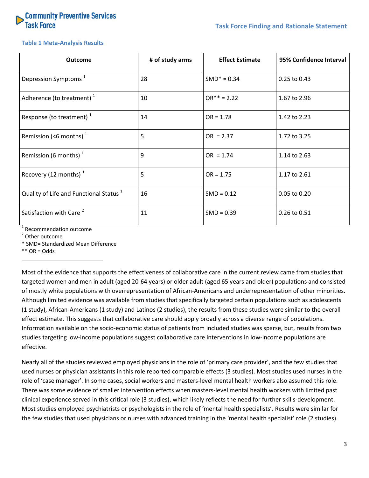

#### **Table 1 Meta-Analysis Results**

| <b>Outcome</b>                                     | # of study arms | <b>Effect Estimate</b> | 95% Confidence Interval |
|----------------------------------------------------|-----------------|------------------------|-------------------------|
| Depression Symptoms <sup>1</sup>                   | 28              | $SMD* = 0.34$          | 0.25 to 0.43            |
| Adherence (to treatment) <sup>1</sup>              | 10              | $OR*** = 2.22$         | 1.67 to 2.96            |
| Response (to treatment) $1$                        | 14              | $OR = 1.78$            | 1.42 to 2.23            |
| Remission (<6 months) $1$                          | 5               | $OR = 2.37$            | 1.72 to 3.25            |
| Remission (6 months) $1$                           | 9               | $OR = 1.74$            | 1.14 to 2.63            |
| Recovery (12 months) $1$                           | 5               | $OR = 1.75$            | 1.17 to 2.61            |
| Quality of Life and Functional Status <sup>1</sup> | 16              | $SMD = 0.12$           | 0.05 to 0.20            |
| Satisfaction with Care <sup>2</sup>                | 11              | $SMD = 0.39$           | 0.26 to 0.51            |

<sup>1</sup> Recommendation outcome

<sup>2</sup> Other outcome

\* SMD= Standardized Mean Difference

 $**$  OR = Odds

Most of the evidence that supports the effectiveness of collaborative care in the current review came from studies that targeted women and men in adult (aged 20-64 years) or older adult (aged 65 years and older) populations and consisted of mostly white populations with overrepresentation of African-Americans and underrepresentation of other minorities. Although limited evidence was available from studies that specifically targeted certain populations such as adolescents (1 study), African-Americans (1 study) and Latinos (2 studies), the results from these studies were similar to the overall effect estimate. This suggests that collaborative care should apply broadly across a diverse range of populations. Information available on the socio-economic status of patients from included studies was sparse, but, results from two studies targeting low-income populations suggest collaborative care interventions in low-income populations are effective.

Nearly all of the studies reviewed employed physicians in the role of 'primary care provider', and the few studies that used nurses or physician assistants in this role reported comparable effects (3 studies). Most studies used nurses in the role of 'case manager'. In some cases, social workers and masters-level mental health workers also assumed this role. There was some evidence of smaller intervention effects when masters-level mental health workers with limited past clinical experience served in this critical role (3 studies), which likely reflects the need for further skills-development. Most studies employed psychiatrists or psychologists in the role of 'mental health specialists'. Results were similar for the few studies that used physicians or nurses with advanced training in the 'mental health specialist' role (2 studies).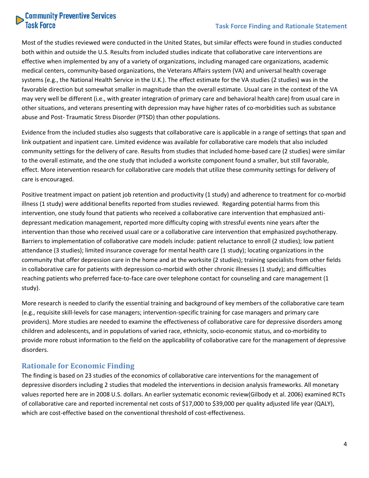# **Community Preventive Services**<br>Task Force

### **Task Force Finding and Rationale Statement**

Most of the studies reviewed were conducted in the United States, but similar effects were found in studies conducted both within and outside the U.S. Results from included studies indicate that collaborative care interventions are effective when implemented by any of a variety of organizations, including managed care organizations, academic medical centers, community-based organizations, the Veterans Affairs system (VA) and universal health coverage systems (e.g., the National Health Service in the U.K.). The effect estimate for the VA studies (2 studies) was in the favorable direction but somewhat smaller in magnitude than the overall estimate. Usual care in the context of the VA may very well be different (i.e., with greater integration of primary care and behavioral health care) from usual care in other situations, and veterans presenting with depression may have higher rates of co-morbidities such as substance abuse and Post- Traumatic Stress Disorder (PTSD) than other populations.

Evidence from the included studies also suggests that collaborative care is applicable in a range of settings that span and link outpatient and inpatient care. Limited evidence was available for collaborative care models that also included community settings for the delivery of care. Results from studies that included home-based care (2 studies) were similar to the overall estimate, and the one study that included a worksite component found a smaller, but still favorable, effect. More intervention research for collaborative care models that utilize these community settings for delivery of care is encouraged.

Positive treatment impact on patient job retention and productivity (1 study) and adherence to treatment for co-morbid illness (1 study) were additional benefits reported from studies reviewed. Regarding potential harms from this intervention, one study found that patients who received a collaborative care intervention that emphasized antidepressant medication management, reported more difficulty coping with stressful events nine years after the intervention than those who received usual care or a collaborative care intervention that emphasized psychotherapy. Barriers to implementation of collaborative care models include: patient reluctance to enroll (2 studies); low patient attendance (3 studies); limited insurance coverage for mental health care (1 study); locating organizations in the community that offer depression care in the home and at the worksite (2 studies); training specialists from other fields in collaborative care for patients with depression co-morbid with other chronic illnesses (1 study); and difficulties reaching patients who preferred face-to-face care over telephone contact for counseling and care management (1 study).

More research is needed to clarify the essential training and background of key members of the collaborative care team (e.g., requisite skill-levels for case managers; intervention-specific training for case managers and primary care providers). More studies are needed to examine the effectiveness of collaborative care for depressive disorders among children and adolescents, and in populations of varied race, ethnicity, socio-economic status, and co-morbidity to provide more robust information to the field on the applicability of collaborative care for the management of depressive disorders.

## <span id="page-3-0"></span>**Rationale for Economic Finding**

The finding is based on 23 studies of the economics of collaborative care interventions for the management of depressive disorders including 2 studies that modeled the interventions in decision analysis frameworks. All monetary values reported here are in 2008 U.S. dollars. An earlier systematic economic review(Gilbody et al. 2006) examined RCTs of collaborative care and reported incremental net costs of \$17,000 to \$39,000 per quality adjusted life year (QALY), which are cost-effective based on the conventional threshold of cost-effectiveness.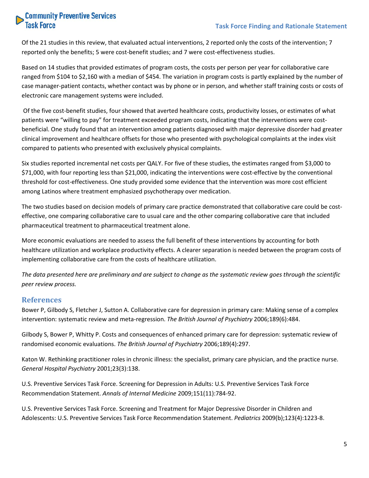# **Community Preventive Services**<br>Task Force

Of the 21 studies in this review, that evaluated actual interventions, 2 reported only the costs of the intervention; 7 reported only the benefits; 5 were cost-benefit studies; and 7 were cost-effectiveness studies.

Based on 14 studies that provided estimates of program costs, the costs per person per year for collaborative care ranged from \$104 to \$2,160 with a median of \$454. The variation in program costs is partly explained by the number of case manager-patient contacts, whether contact was by phone or in person, and whether staff training costs or costs of electronic care management systems were included.

Of the five cost-benefit studies, four showed that averted healthcare costs, productivity losses, or estimates of what patients were "willing to pay" for treatment exceeded program costs, indicating that the interventions were costbeneficial. One study found that an intervention among patients diagnosed with major depressive disorder had greater clinical improvement and healthcare offsets for those who presented with psychological complaints at the index visit compared to patients who presented with exclusively physical complaints.

Six studies reported incremental net costs per QALY. For five of these studies, the estimates ranged from \$3,000 to \$71,000, with four reporting less than \$21,000, indicating the interventions were cost-effective by the conventional threshold for cost-effectiveness. One study provided some evidence that the intervention was more cost efficient among Latinos where treatment emphasized psychotherapy over medication.

The two studies based on decision models of primary care practice demonstrated that collaborative care could be costeffective, one comparing collaborative care to usual care and the other comparing collaborative care that included pharmaceutical treatment to pharmaceutical treatment alone.

More economic evaluations are needed to assess the full benefit of these interventions by accounting for both healthcare utilization and workplace productivity effects. A clearer separation is needed between the program costs of implementing collaborative care from the costs of healthcare utilization.

*The data presented here are preliminary and are subject to change as the systematic review goes through the scientific peer review process.*

### <span id="page-4-0"></span>**References**

Bower P, Gilbody S, Fletcher J, Sutton A. Collaborative care for depression in primary care: Making sense of a complex intervention: systematic review and meta-regression. *The British Journal of Psychiatry* 2006;189(6):484.

Gilbody S, Bower P, Whitty P. Costs and consequences of enhanced primary care for depression: systematic review of randomised economic evaluations. *The British Journal of Psychiatry* 2006;189(4):297.

Katon W. Rethinking practitioner roles in chronic illness: the specialist, primary care physician, and the practice nurse. *General Hospital Psychiatry* 2001;23(3):138.

U.S. Preventive Services Task Force. Screening for Depression in Adults: U.S. Preventive Services Task Force Recommendation Statement. *Annals of Internal Medicine* 2009;151(11):784-92.

U.S. Preventive Services Task Force. Screening and Treatment for Major Depressive Disorder in Children and Adolescents: U.S. Preventive Services Task Force Recommendation Statement. *Pediatrics* 2009(b);123(4):1223-8.